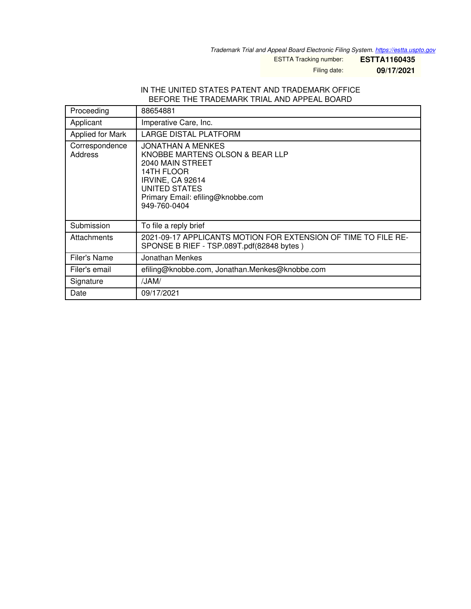*Trademark Trial and Appeal Board Electronic Filing System. <https://estta.uspto.gov>*

ESTTA Tracking number: **ESTTA1160435**

Filing date: **09/17/2021**

## IN THE UNITED STATES PATENT AND TRADEMARK OFFICE BEFORE THE TRADEMARK TRIAL AND APPEAL BOARD

| Proceeding                | 88654881                                                                                                                                                                                |
|---------------------------|-----------------------------------------------------------------------------------------------------------------------------------------------------------------------------------------|
| Applicant                 | Imperative Care, Inc.                                                                                                                                                                   |
| Applied for Mark          | LARGE DISTAL PLATFORM                                                                                                                                                                   |
| Correspondence<br>Address | JONATHAN A MENKES<br>KNOBBE MARTENS OLSON & BEAR LLP<br>2040 MAIN STREET<br>14TH FLOOR<br><b>IRVINE, CA 92614</b><br>UNITED STATES<br>Primary Email: efiling@knobbe.com<br>949-760-0404 |
| Submission                | To file a reply brief                                                                                                                                                                   |
| Attachments               | 2021-09-17 APPLICANTS MOTION FOR EXTENSION OF TIME TO FILE RE-<br>SPONSE B RIEF - TSP.089T.pdf(82848 bytes)                                                                             |
| Filer's Name              | Jonathan Menkes                                                                                                                                                                         |
| Filer's email             | efiling@knobbe.com, Jonathan.Menkes@knobbe.com                                                                                                                                          |
| Signature                 | /JAM/                                                                                                                                                                                   |
| Date                      | 09/17/2021                                                                                                                                                                              |